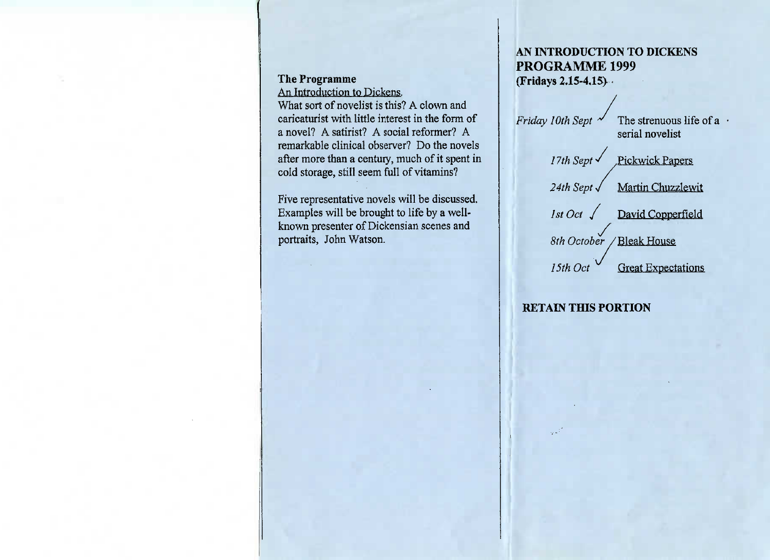### **The Programme**

An Introduction to Dickens.

 What sort of novelist is this? A clown and caricaturist with little interest in the form of a novel? A satirist? A social reformer? A remarkable clinical observer? Do the novels after more than a century, much of it spent incold storage, still seem full of vitamins?

Five representative novels will be discussed.Examples will be brought to life by a well known presenter of Dickensian scenes andportraits, John Watson.

# AN **INTRODUCTION TO DICKENSPROGRAMME 1999(Fridays 2.15-4.15)**

*Friday 10th Sept*  $\checkmark$  The strenuous life of a  $\cdot$ serial novelist

> *17th Sept* ∕ Pickwick Papers *24th Sept* / Martin Chuzzlewit*IstOct J* David Copperfield

/ *8th October* / Bleak House

*15th Oct '* Great Expectations

# **RETAIN THIS PORTION**